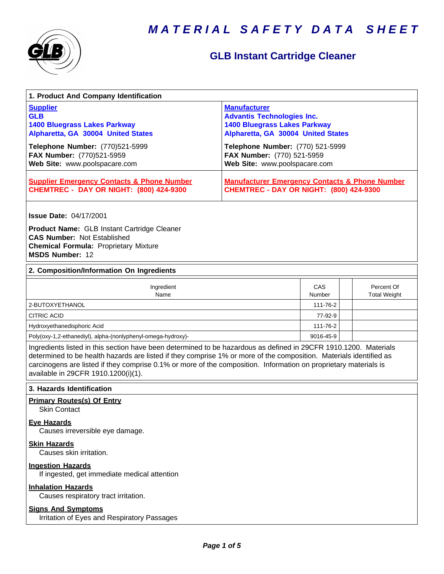



## **GLB Instant Cartridge Cleaner**

| 1. Product And Company Identification                                                                                                                                                                                                                                                                                                                                                             |                                                                                                                                                                                                                                          |               |                                   |  |
|---------------------------------------------------------------------------------------------------------------------------------------------------------------------------------------------------------------------------------------------------------------------------------------------------------------------------------------------------------------------------------------------------|------------------------------------------------------------------------------------------------------------------------------------------------------------------------------------------------------------------------------------------|---------------|-----------------------------------|--|
| <b>Supplier</b><br><b>GLB</b><br><b>1400 Bluegrass Lakes Parkway</b><br>Alpharetta, GA 30004 United States<br>Telephone Number: (770)521-5999<br>FAX Number: (770)521-5959<br>Web Site: www.poolspacare.com                                                                                                                                                                                       | <b>Manufacturer</b><br><b>Advantis Technologies Inc.</b><br><b>1400 Bluegrass Lakes Parkway</b><br>Alpharetta, GA 30004 United States<br>Telephone Number: (770) 521-5999<br>FAX Number: (770) 521-5959<br>Web Site: www.poolspacare.com |               |                                   |  |
| <b>Supplier Emergency Contacts &amp; Phone Number</b><br><b>CHEMTREC - DAY OR NIGHT: (800) 424-9300</b>                                                                                                                                                                                                                                                                                           | <b>Manufacturer Emergency Contacts &amp; Phone Number</b><br><b>CHEMTREC - DAY OR NIGHT: (800) 424-9300</b>                                                                                                                              |               |                                   |  |
| <b>Issue Date: 04/17/2001</b><br><b>Product Name: GLB Instant Cartridge Cleaner</b><br><b>CAS Number: Not Established</b><br><b>Chemical Formula: Proprietary Mixture</b><br><b>MSDS Number: 12</b>                                                                                                                                                                                               |                                                                                                                                                                                                                                          |               |                                   |  |
| 2. Composition/Information On Ingredients                                                                                                                                                                                                                                                                                                                                                         |                                                                                                                                                                                                                                          |               |                                   |  |
| Ingredient<br>Name                                                                                                                                                                                                                                                                                                                                                                                |                                                                                                                                                                                                                                          | CAS<br>Number | Percent Of<br><b>Total Weight</b> |  |
| 2-BUTOXYETHANOL                                                                                                                                                                                                                                                                                                                                                                                   |                                                                                                                                                                                                                                          | 111-76-2      |                                   |  |
| <b>CITRIC ACID</b>                                                                                                                                                                                                                                                                                                                                                                                |                                                                                                                                                                                                                                          | 77-92-9       |                                   |  |
| Hydroxyethanedisphoric Acid                                                                                                                                                                                                                                                                                                                                                                       |                                                                                                                                                                                                                                          | 111-76-2      |                                   |  |
| Poly(oxy-1,2-ethanediyl), alpha-(nonlyphenyl-omega-hydroxy)-                                                                                                                                                                                                                                                                                                                                      |                                                                                                                                                                                                                                          | 9016-45-9     |                                   |  |
| Ingredients listed in this section have been determined to be hazardous as defined in 29CFR 1910.1200. Materials<br>determined to be health hazards are listed if they comprise 1% or more of the composition. Materials identified as<br>carcinogens are listed if they comprise 0.1% or more of the composition. Information on proprietary materials is<br>available in 29CFR 1910.1200(i)(1). |                                                                                                                                                                                                                                          |               |                                   |  |
| 3. Hazards Identification                                                                                                                                                                                                                                                                                                                                                                         |                                                                                                                                                                                                                                          |               |                                   |  |
| <b>Primary Routes(s) Of Entry</b><br><b>Skin Contact</b>                                                                                                                                                                                                                                                                                                                                          |                                                                                                                                                                                                                                          |               |                                   |  |
| <b>Eye Hazards</b><br>Causes irreversible eye damage.                                                                                                                                                                                                                                                                                                                                             |                                                                                                                                                                                                                                          |               |                                   |  |
| <b>Skin Hazards</b><br>Causes skin irritation.                                                                                                                                                                                                                                                                                                                                                    |                                                                                                                                                                                                                                          |               |                                   |  |
| <b>Ingestion Hazards</b><br>If ingested, get immediate medical attention                                                                                                                                                                                                                                                                                                                          |                                                                                                                                                                                                                                          |               |                                   |  |
| <b>Inhalation Hazards</b><br>Causes respiratory tract irritation.                                                                                                                                                                                                                                                                                                                                 |                                                                                                                                                                                                                                          |               |                                   |  |
| <b>Signs And Symptoms</b>                                                                                                                                                                                                                                                                                                                                                                         |                                                                                                                                                                                                                                          |               |                                   |  |

Irritation of Eyes and Respiratory Passages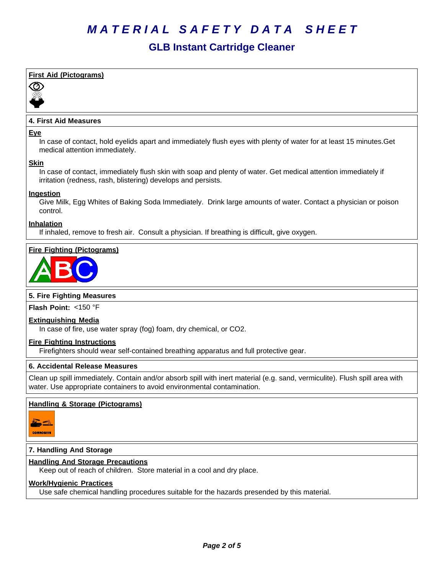### **GLB Instant Cartridge Cleaner**

### **First Aid (Pictograms)**



### **4. First Aid Measures**

#### **Eye**

In case of contact, hold eyelids apart and immediately flush eyes with plenty of water for at least 15 minutes.Get medical attention immediately.

### **Skin**

In case of contact, immediately flush skin with soap and plenty of water. Get medical attention immediately if irritation (redness, rash, blistering) develops and persists.

### **Ingestion**

Give Milk, Egg Whites of Baking Soda Immediately. Drink large amounts of water. Contact a physician or poison control.

### **Inhalation**

If inhaled, remove to fresh air. Consult a physician. If breathing is difficult, give oxygen.

### **Fire Fighting (Pictograms)**



### **5. Fire Fighting Measures**

**Flash Point:** <150°F

### **Extinguishing Media**

In case of fire, use water spray (fog) foam, dry chemical, or CO2.

#### **Fire Fighting Instructions**

Firefighters should wear self-contained breathing apparatus and full protective gear.

### **6.Accidental ReleaseMeasures**

Clean up spill immediately. Contain and/or absorb spill with inert material (e.g. sand, vermiculite). Flush spill area with water. Use appropriate containers to avoid environmental contamination.

### **Handling & Storage (Pictograms)**



### **7. Handling And Storage**

### **Handling And Storage Precautions**

Keep out of reach of children. Store material in a cool and dry place.

### **Work/Hygienic Practices**

Use safe chemical handling procedures suitable for the hazards presended by this material.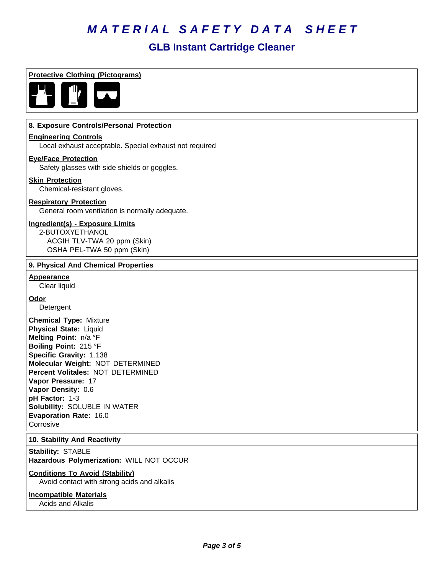### **GLB Instant Cartridge Cleaner**

**Protective Clothing (Pictograms)**



### **8. Exposure Controls/Personal Protection**

### **Engineering Controls**

Local exhaust acceptable. Special exhaust not required

### **Eye/Face Protection**

Safety glasses with side shields or goggles.

### **Skin Protection**

Chemical-resistant gloves.

### **Respiratory Protection**

General room ventilation is normally adequate.

### **Ingredient(s) - Exposure Limits**

2-BUTOXYETHANOL ACGIH TLV-TWA 20 ppm (Skin) OSHA PEL-TWA 50 ppm (Skin)

### **9. Physical And Chemical Properties**

### **Appearance**

Clear liquid

### **Odor**

Detergent

**Chemical Type:** Mixture **Physical State:** Liquid **Melting Point:** n/a°F **Boiling Point:** 215°F **Specific Gravity:** 1.138 **Molecular Weight:** NOT DETERMINED **Percent Volitales:** NOT DETERMINED **Vapor Pressure:** 17 **Vapor Density:** 0.6 **pH Factor:** 1-3 **Solubility: SOLUBLE IN WATER Evaporation Rate:** 16.0 **Corrosive** 

### **10. Stability And Reactivity**

**Stability: STABLE Hazardous Polymerization:** WILL NOT OCCUR

### **Conditions To Avoid (Stability)**

Avoid contact with strong acids and alkalis

### **Incompatible Materials**

Acids and Alkalis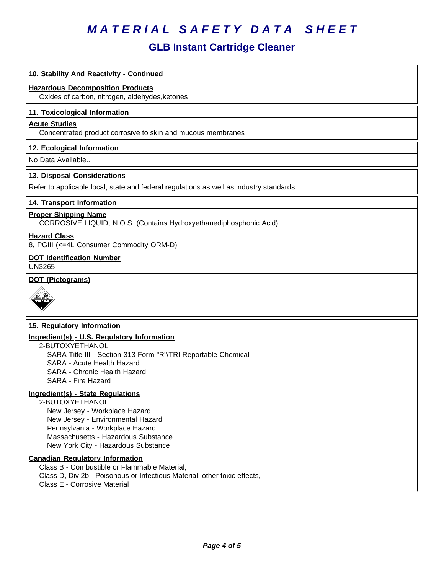## **GLB Instant Cartridge Cleaner**

| 10. Stability And Reactivity - Continued                                                                                                                                                                                                    |
|---------------------------------------------------------------------------------------------------------------------------------------------------------------------------------------------------------------------------------------------|
| <b>Hazardous Decomposition Products</b><br>Oxides of carbon, nitrogen, aldehydes, ketones                                                                                                                                                   |
| 11. Toxicological Information                                                                                                                                                                                                               |
| <b>Acute Studies</b><br>Concentrated product corrosive to skin and mucous membranes                                                                                                                                                         |
| 12. Ecological Information                                                                                                                                                                                                                  |
| No Data Available                                                                                                                                                                                                                           |
| 13. Disposal Considerations                                                                                                                                                                                                                 |
| Refer to applicable local, state and federal regulations as well as industry standards.                                                                                                                                                     |
| 14. Transport Information                                                                                                                                                                                                                   |
| <b>Proper Shipping Name</b><br>CORROSIVE LIQUID, N.O.S. (Contains Hydroxyethanediphosphonic Acid)                                                                                                                                           |
| <b>Hazard Class</b><br>8, PGIII (<=4L Consumer Commodity ORM-D)                                                                                                                                                                             |
| <b>DOT Identification Number</b><br><b>UN3265</b>                                                                                                                                                                                           |
| <b>DOT (Pictograms)</b>                                                                                                                                                                                                                     |
| 15. Regulatory Information                                                                                                                                                                                                                  |
| Ingredient(s) - U.S. Regulatory Information<br>2-BUTOXYETHANOL<br>SARA Title III - Section 313 Form "R"/TRI Reportable Chemical<br>SARA - Acute Health Hazard<br>SARA - Chronic Health Hazard<br>SARA - Fire Hazard                         |
| Ingredient(s) - State Regulations<br>2-BUTOXYETHANOL<br>New Jersey - Workplace Hazard<br>New Jersey - Environmental Hazard<br>Pennsylvania - Workplace Hazard<br>Massachusetts - Hazardous Substance<br>New York City - Hazardous Substance |
| <b>Canadian Regulatory Information</b><br>Class B - Combustible or Flammable Material,<br>Class D, Div 2b - Poisonous or Infectious Material: other toxic effects,<br>Class E - Corrosive Material                                          |